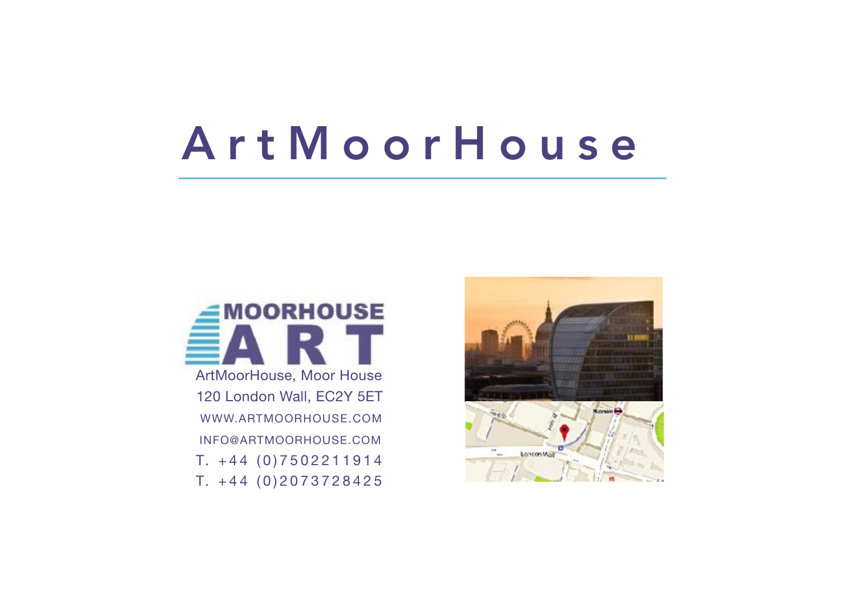# ArtMoorHouse



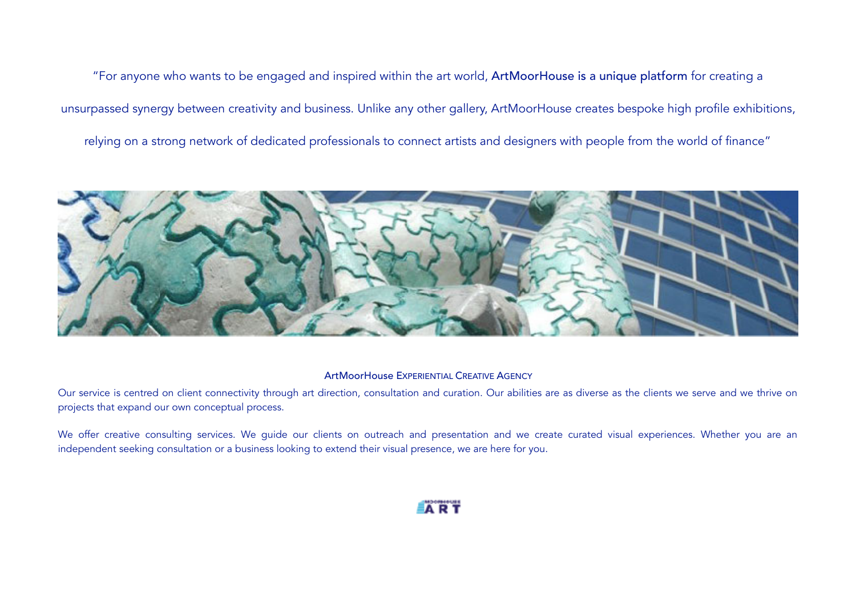"For anyone who wants to be engaged and inspired within the art world, ArtMoorHouse is a unique platform for creating a unsurpassed synergy between creativity and business. Unlike any other gallery, ArtMoorHouse creates bespoke high profile exhibitions,

relying on a strong network of dedicated professionals to connect artists and designers with people from the world of finance"



#### ArtMoorHouse EXPERIENTIAL CREATIVE AGENCY

Our service is centred on client connectivity through art direction, consultation and curation. Our abilities are as diverse as the clients we serve and we thrive on projects that expand our own conceptual process.

We offer creative consulting services. We quide our clients on outreach and presentation and we create curated visual experiences. Whether you are an independent seeking consultation or a business looking to extend their visual presence, we are here for you.

### **ART**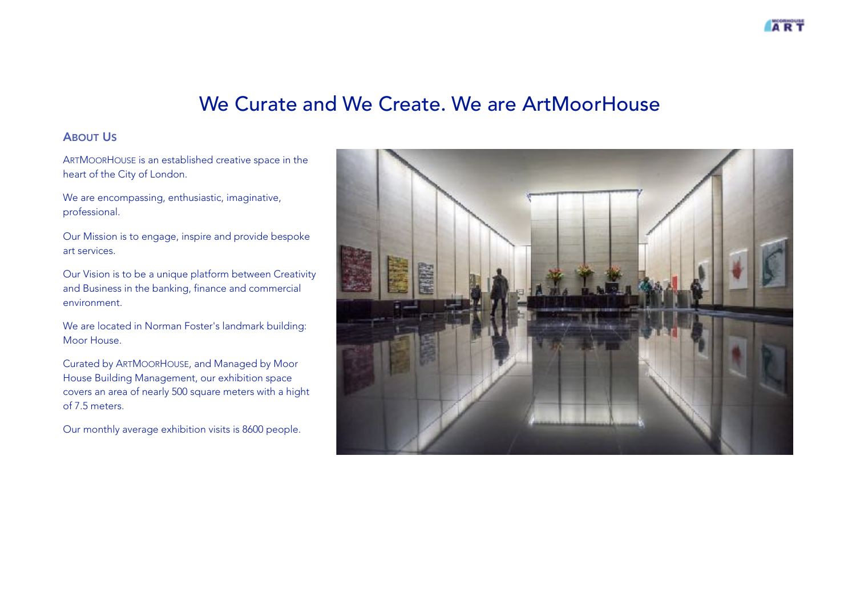## We Curate and We Create. We are ArtMoorHouse

#### **ABOUT US**

ARTMOORHOUSE is an established creative space in the heart of the City of London.

We are encompassing, enthusiastic, imaginative, professional.

Our Mission is to engage, inspire and provide bespoke art services.

Our Vision is to be a unique platform between Creativity and Business in the banking, finance and commercial environment.

We are located in Norman Foster's landmark building: Moor House.

Curated by ARTMOORHOUSE, and Managed by Moor House Building Management, our exhibition space covers an area of nearly 500 square meters with a hight of 7.5 meters.

Our monthly average exhibition visits is 8600 people.

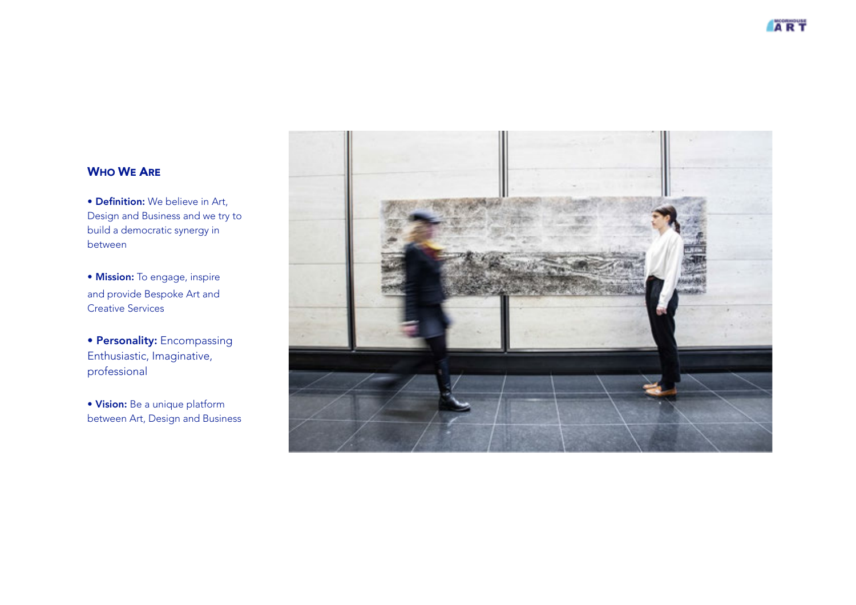#### WHO WE ARE

- Definition: We believe in Art, Design and Business and we try to build a democratic synergy in between
- Mission: To engage, inspire and provide Bespoke Art and Creative Services
- Personality: Encompassing Enthusiastic, Imaginative, professional
- Vision: Be a unique platform between Art, Design and Business

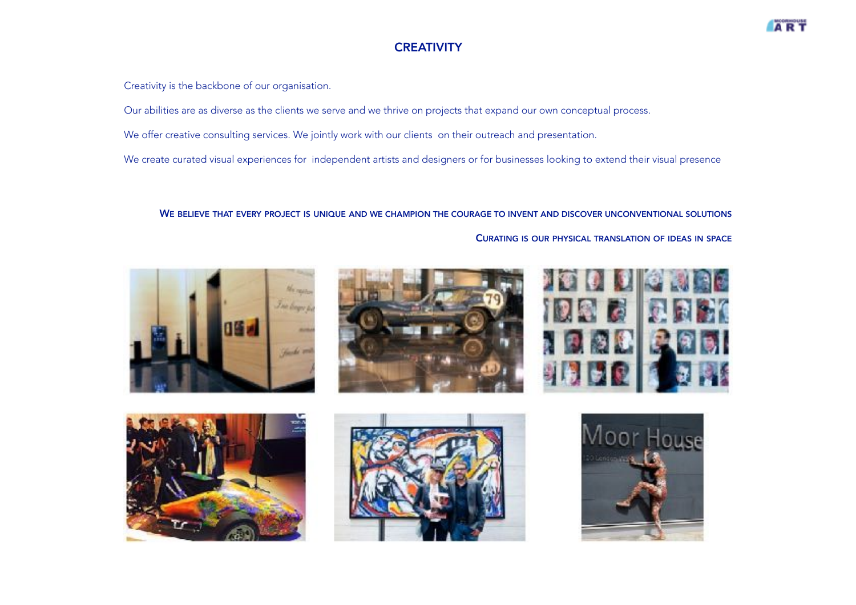#### **CREATIVITY**

Creativity is the backbone of our organisation.

Our abilities are as diverse as the clients we serve and we thrive on projects that expand our own conceptual process.

We offer creative consulting services. We jointly work with our clients on their outreach and presentation.

We create curated visual experiences for independent artists and designers or for businesses looking to extend their visual presence

#### WE BELIEVE THAT EVERY PROJECT IS UNIQUE AND WE CHAMPION THE COURAGE TO INVENT AND DISCOVER UNCONVENTIONAL SOLUTIONS







CURATING IS OUR PHYSICAL TRANSLATION OF IDEAS IN SPACE







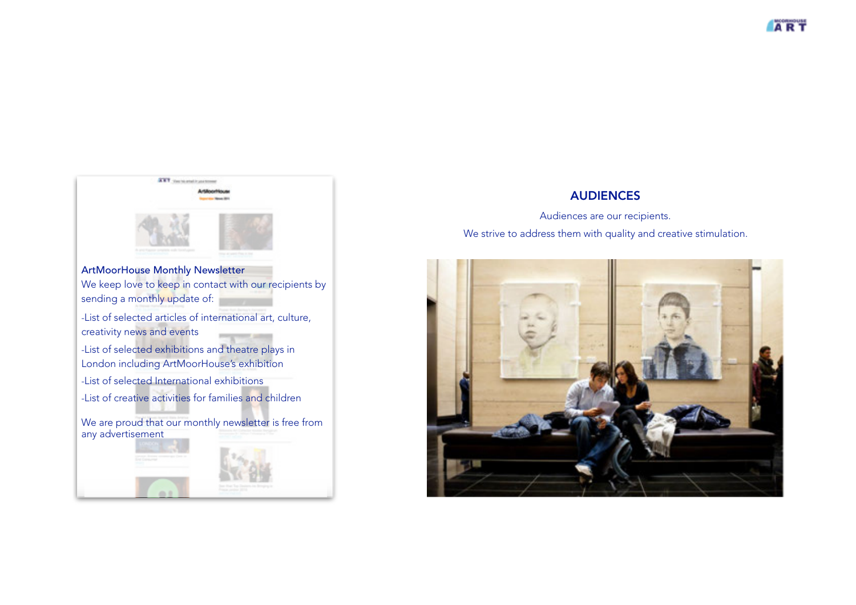

#### AUDIENCES

Audiences are our recipients. We strive to address them with quality and creative stimulation.

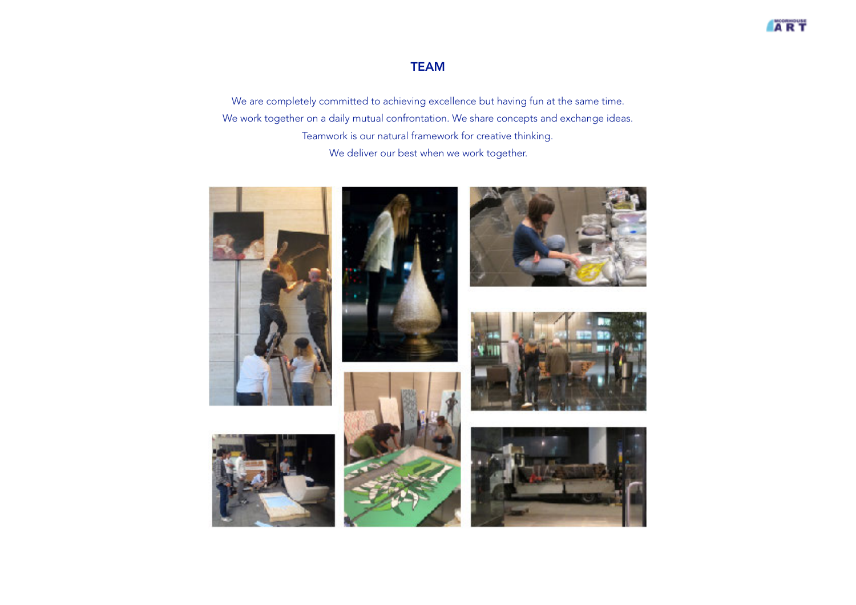#### TEAM

We are completely committed to achieving excellence but having fun at the same time. We work together on a daily mutual confrontation. We share concepts and exchange ideas. Teamwork is our natural framework for creative thinking. We deliver our best when we work together.

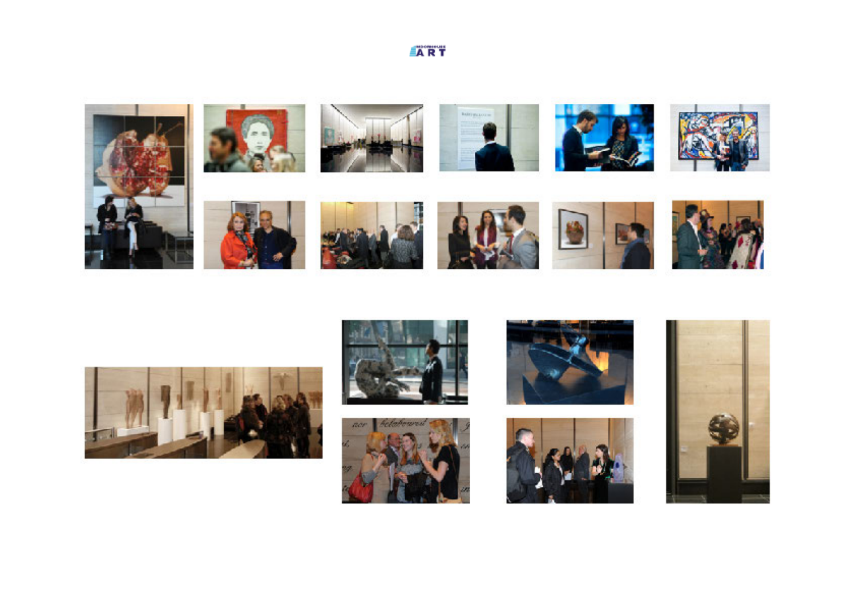